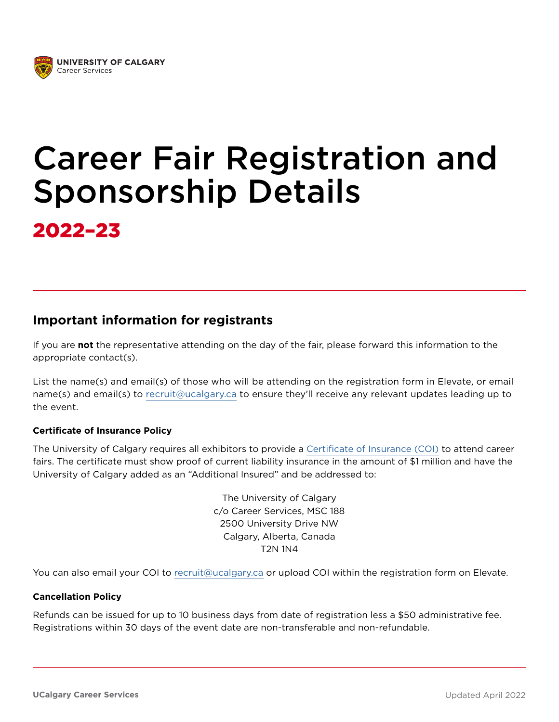

# Career Fair Registration and Sponsorship Details

2022–23

#### **Important information for registrants**

If you are **not** the representative attending on the day of the fair, please forward this information to the appropriate contact(s).

List the name(s) and email(s) of those who will be attending on the registration form in Elevate, or email name(s) and email(s) to [recruit@ucalgary.ca](mailto:recruit%40ucalgary.ca?subject=) to ensure they'll receive any relevant updates leading up to the event.

#### **Certificate of Insurance Policy**

The University of Calgary requires all exhibitors to provide a [Certificate of Insurance \(COI\)](https://www.google.com/search?q=certificate+of+insurance+sample) to attend career fairs. The certificate must show proof of current liability insurance in the amount of \$1 million and have the University of Calgary added as an "Additional Insured" and be addressed to:

> The University of Calgary c/o Career Services, MSC 188 2500 University Drive NW Calgary, Alberta, Canada T2N 1N4

You can also email your COI to [recruit@ucalgary.ca](mailto:recruit%40ucalgary.ca?subject=Certificate%20of%20Insurance) or upload COI within the registration form on Elevate.

#### **Cancellation Policy**

Refunds can be issued for up to 10 business days from date of registration less a \$50 administrative fee. Registrations within 30 days of the event date are non-transferable and non-refundable.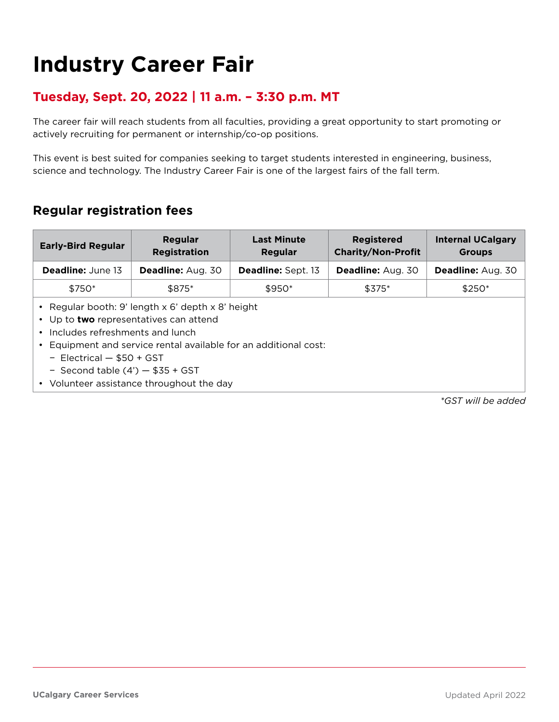## **Industry Career Fair**

#### **Tuesday, Sept. 20, 2022 | 11 a.m. – 3:30 p.m. MT**

The career fair will reach students from all faculties, providing a great opportunity to start promoting or actively recruiting for permanent or internship/co-op positions.

This event is best suited for companies seeking to target students interested in engineering, business, science and technology. The Industry Career Fair is one of the largest fairs of the fall term.

#### **Regular registration fees**

| <b>Early-Bird Regular</b> | Regular<br><b>Registration</b> | <b>Last Minute</b><br><b>Regular</b> | <b>Registered</b><br><b>Charity/Non-Profit</b> | <b>Internal UCalgary</b><br><b>Groups</b> |
|---------------------------|--------------------------------|--------------------------------------|------------------------------------------------|-------------------------------------------|
| <b>Deadline:</b> June 13  | Deadline: Aug. 30              | Deadline: Sept. 13                   | Deadline: Aug. 30                              | <b>Deadline: Aug. 30</b>                  |
| \$750*                    | \$875*                         | $$950*$                              | $$375*$                                        | $$250*$                                   |
|                           |                                |                                      |                                                |                                           |

- Regular booth: 9' length x 6' depth x 8' height
- Up to **two** representatives can attend
- Includes refreshments and lunch
- Equipment and service rental available for an additional cost:
	- − Electrical \$50 + GST
	- − Second table (4') \$35 + GST
- Volunteer assistance throughout the day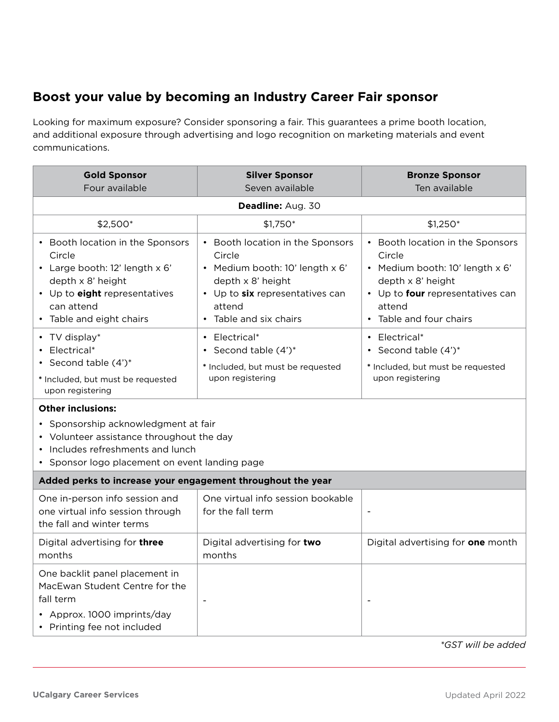### **Boost your value by becoming an Industry Career Fair sponsor**

Looking for maximum exposure? Consider sponsoring a fair. This guarantees a prime booth location, and additional exposure through advertising and logo recognition on marketing materials and event communications.

| <b>Gold Sponsor</b><br>Four available                                                                                                                                                                                                                                                                                    | <b>Silver Sponsor</b><br>Seven available                                                                                                                                           | <b>Bronze Sponsor</b><br>Ten available                                                                                                                                      |  |  |
|--------------------------------------------------------------------------------------------------------------------------------------------------------------------------------------------------------------------------------------------------------------------------------------------------------------------------|------------------------------------------------------------------------------------------------------------------------------------------------------------------------------------|-----------------------------------------------------------------------------------------------------------------------------------------------------------------------------|--|--|
| Deadline: Aug. 30                                                                                                                                                                                                                                                                                                        |                                                                                                                                                                                    |                                                                                                                                                                             |  |  |
| \$2,500*                                                                                                                                                                                                                                                                                                                 | \$1,750*                                                                                                                                                                           | $$1,250*$                                                                                                                                                                   |  |  |
| • Booth location in the Sponsors<br>Circle<br>• Large booth: 12' length x 6'<br>depth x 8' height<br>• Up to eight representatives<br>can attend<br>• Table and eight chairs                                                                                                                                             | Booth location in the Sponsors<br>Circle<br>· Medium booth: 10' length x 6'<br>depth x 8' height<br>• Up to six representatives can<br>attend<br>Table and six chairs<br>$\bullet$ | • Booth location in the Sponsors<br>Circle<br>· Medium booth: 10' length x 6'<br>depth x 8' height<br>• Up to four representatives can<br>attend<br>• Table and four chairs |  |  |
| • TV display*<br>Electrical*<br>• Second table $(4')^*$<br>* Included, but must be requested<br>upon registering<br><b>Other inclusions:</b><br>• Sponsorship acknowledgment at fair<br>• Volunteer assistance throughout the day<br>• Includes refreshments and lunch<br>• Sponsor logo placement on event landing page | • Electrical*<br>• Second table $(4')^*$<br>* Included, but must be requested<br>upon registering                                                                                  | • Electrical*<br>• Second table $(4')^*$<br>* Included, but must be requested<br>upon registering                                                                           |  |  |
| Added perks to increase your engagement throughout the year                                                                                                                                                                                                                                                              |                                                                                                                                                                                    |                                                                                                                                                                             |  |  |
| One in-person info session and<br>one virtual info session through<br>the fall and winter terms                                                                                                                                                                                                                          | One virtual info session bookable<br>for the fall term                                                                                                                             |                                                                                                                                                                             |  |  |
| Digital advertising for three<br>months                                                                                                                                                                                                                                                                                  | Digital advertising for two<br>months                                                                                                                                              | Digital advertising for one month                                                                                                                                           |  |  |
| One backlit panel placement in<br>MacEwan Student Centre for the<br>fall term<br>• Approx. 1000 imprints/day<br>• Printing fee not included                                                                                                                                                                              |                                                                                                                                                                                    |                                                                                                                                                                             |  |  |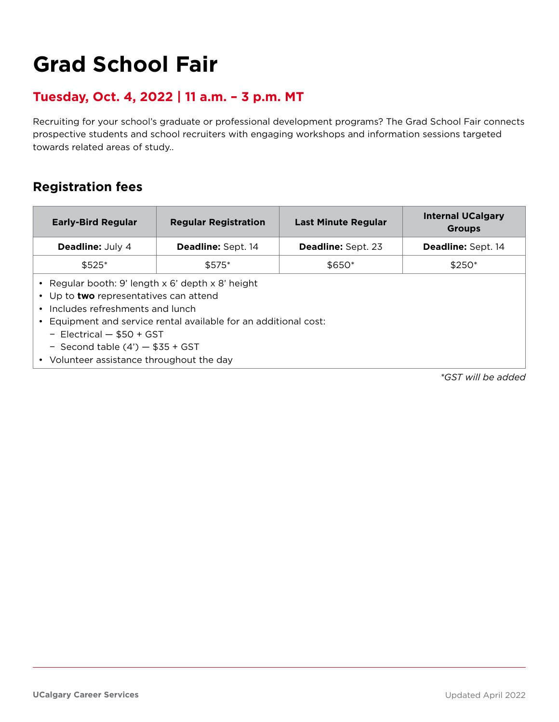# **Grad School Fair**

#### **Tuesday, Oct. 4, 2022 | 11 a.m. – 3 p.m. MT**

Recruiting for your school's graduate or professional development programs? The Grad School Fair connects prospective students and school recruiters with engaging workshops and information sessions targeted towards related areas of study..

### **Registration fees**

| <b>Early-Bird Regular</b>                                                                                                                                                                                                                                                                                             | <b>Regular Registration</b> | <b>Last Minute Regular</b> | <b>Internal UCalgary</b><br><b>Groups</b> |  |
|-----------------------------------------------------------------------------------------------------------------------------------------------------------------------------------------------------------------------------------------------------------------------------------------------------------------------|-----------------------------|----------------------------|-------------------------------------------|--|
| <b>Deadline:</b> July 4                                                                                                                                                                                                                                                                                               | <b>Deadline: Sept. 14</b>   | <b>Deadline: Sept. 23</b>  | <b>Deadline: Sept. 14</b>                 |  |
| $$525*$                                                                                                                                                                                                                                                                                                               | $$575*$                     | $$650*$                    | $$250*$                                   |  |
| Regular booth: 9' length x 6' depth x 8' height<br>Up to <b>two</b> representatives can attend<br>Includes refreshments and lunch<br>Equipment and service rental available for an additional cost:<br>- Electrical $-$ \$50 + GST<br>- Second table $(4')$ - \$35 + GST<br>• Volunteer assistance throughout the day |                             |                            |                                           |  |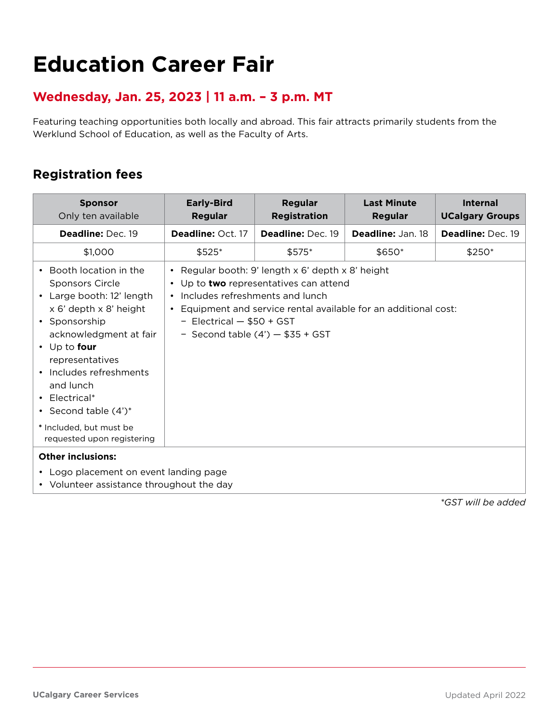## **Education Career Fair**

#### **Wednesday, Jan. 25, 2023 | 11 a.m. – 3 p.m. MT**

Featuring teaching opportunities both locally and abroad. This fair attracts primarily students from the Werklund School of Education, as well as the Faculty of Arts.

#### **Registration fees**

| <b>Sponsor</b><br>Only ten available                                                                                                                                                                                                                                                                      | <b>Early-Bird</b><br><b>Regular</b>                                                                                                                                                                                                                                                 | <b>Regular</b><br><b>Registration</b> | <b>Last Minute</b><br><b>Regular</b> | <b>Internal</b><br><b>UCalgary Groups</b> |
|-----------------------------------------------------------------------------------------------------------------------------------------------------------------------------------------------------------------------------------------------------------------------------------------------------------|-------------------------------------------------------------------------------------------------------------------------------------------------------------------------------------------------------------------------------------------------------------------------------------|---------------------------------------|--------------------------------------|-------------------------------------------|
| Deadline: Dec. 19                                                                                                                                                                                                                                                                                         | Deadline: Oct. 17                                                                                                                                                                                                                                                                   | Deadline: Dec. 19                     | Deadline: Jan. 18                    | Deadline: Dec. 19                         |
| \$1,000                                                                                                                                                                                                                                                                                                   | \$525*                                                                                                                                                                                                                                                                              | \$575*                                | \$650*                               | $$250*$                                   |
| Booth location in the<br><b>Sponsors Circle</b><br>• Large booth: 12' length<br>x 6' depth x 8' height<br>• Sponsorship<br>acknowledgment at fair<br>$\cdot$ Up to four<br>representatives<br>• Includes refreshments<br>and lunch<br>• Electrical*<br>• Second table $(4')^*$<br>* Included, but must be | • Regular booth: 9' length x 6' depth x 8' height<br>• Up to two representatives can attend<br>• Includes refreshments and lunch<br>Equipment and service rental available for an additional cost:<br>$\bullet$<br>- Electrical $-$ \$50 + GST<br>- Second table $(4') - $35 + GST$ |                                       |                                      |                                           |
| requested upon registering                                                                                                                                                                                                                                                                                |                                                                                                                                                                                                                                                                                     |                                       |                                      |                                           |
| <b>Other inclusions:</b><br>• Logo placement on event landing page<br>• Volunteer assistance throughout the day                                                                                                                                                                                           |                                                                                                                                                                                                                                                                                     |                                       |                                      |                                           |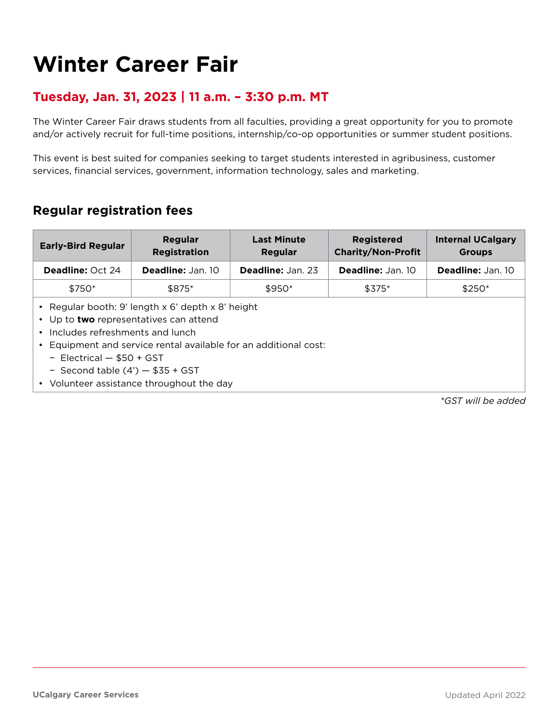### **Winter Career Fair**

#### **Tuesday, Jan. 31, 2023 | 11 a.m. – 3:30 p.m. MT**

The Winter Career Fair draws students from all faculties, providing a great opportunity for you to promote and/or actively recruit for full-time positions, internship/co-op opportunities or summer student positions.

This event is best suited for companies seeking to target students interested in agribusiness, customer services, financial services, government, information technology, sales and marketing.

#### **Regular registration fees**

| <b>Early-Bird Regular</b> | Regular<br><b>Registration</b> | <b>Last Minute</b><br>Regular | <b>Registered</b><br><b>Charity/Non-Profit</b> | <b>Internal UCalgary</b><br><b>Groups</b> |
|---------------------------|--------------------------------|-------------------------------|------------------------------------------------|-------------------------------------------|
| <b>Deadline: Oct 24</b>   | <b>Deadline: Jan. 10</b>       | <b>Deadline: Jan. 23</b>      | <b>Deadline: Jan. 10</b>                       | <b>Deadline: Jan. 10</b>                  |
| \$750*                    | \$875*                         | $$950*$                       | $$375*$                                        | $$250*$                                   |
|                           |                                |                               |                                                |                                           |

- Regular booth: 9' length x 6' depth x 8' height
- Up to **two** representatives can attend
- Includes refreshments and lunch
- Equipment and service rental available for an additional cost:
	- − Electrical \$50 + GST
	- − Second table (4') \$35 + GST
- Volunteer assistance throughout the day